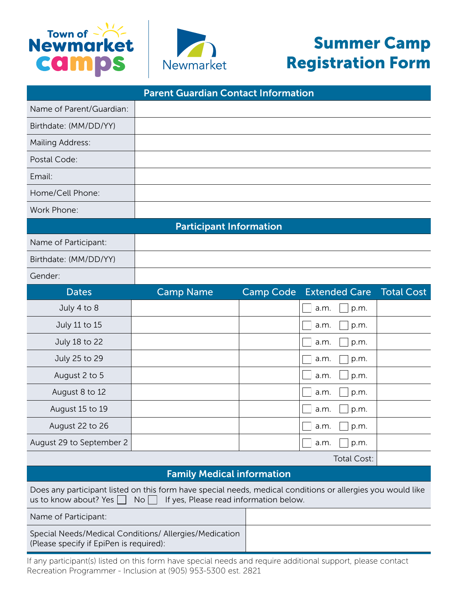



## Summer Camp Registration Form

| <b>Parent Guardian Contact Information</b>                                                                                                                                           |                                   |                  |                               |                   |  |  |  |  |
|--------------------------------------------------------------------------------------------------------------------------------------------------------------------------------------|-----------------------------------|------------------|-------------------------------|-------------------|--|--|--|--|
| Name of Parent/Guardian:                                                                                                                                                             |                                   |                  |                               |                   |  |  |  |  |
| Birthdate: (MM/DD/YY)                                                                                                                                                                |                                   |                  |                               |                   |  |  |  |  |
| Mailing Address:                                                                                                                                                                     |                                   |                  |                               |                   |  |  |  |  |
| Postal Code:                                                                                                                                                                         |                                   |                  |                               |                   |  |  |  |  |
| Email:                                                                                                                                                                               |                                   |                  |                               |                   |  |  |  |  |
| Home/Cell Phone:                                                                                                                                                                     |                                   |                  |                               |                   |  |  |  |  |
| Work Phone:                                                                                                                                                                          |                                   |                  |                               |                   |  |  |  |  |
| <b>Participant Information</b>                                                                                                                                                       |                                   |                  |                               |                   |  |  |  |  |
| Name of Participant:                                                                                                                                                                 |                                   |                  |                               |                   |  |  |  |  |
| Birthdate: (MM/DD/YY)                                                                                                                                                                |                                   |                  |                               |                   |  |  |  |  |
| Gender:                                                                                                                                                                              |                                   |                  |                               |                   |  |  |  |  |
| <b>Dates</b>                                                                                                                                                                         | <b>Camp Name</b>                  | <b>Camp Code</b> | <b>Extended Care</b>          | <b>Total Cost</b> |  |  |  |  |
| July 4 to 8                                                                                                                                                                          |                                   |                  | a.m.<br>p.m.                  |                   |  |  |  |  |
| July 11 to 15                                                                                                                                                                        |                                   |                  | p.m.<br>a.m.                  |                   |  |  |  |  |
| July 18 to 22                                                                                                                                                                        |                                   |                  | p.m.<br>a.m.                  |                   |  |  |  |  |
| July 25 to 29                                                                                                                                                                        |                                   |                  | p.m.<br>a.m.                  |                   |  |  |  |  |
| August 2 to 5                                                                                                                                                                        |                                   |                  | a.m.<br>p.m.                  |                   |  |  |  |  |
| August 8 to 12                                                                                                                                                                       |                                   |                  | p.m.<br>a.m.                  |                   |  |  |  |  |
| August 15 to 19                                                                                                                                                                      |                                   |                  | p.m.<br>a.m.                  |                   |  |  |  |  |
| August 22 to 26                                                                                                                                                                      |                                   |                  | $\Box$ a.m.<br>$\Box$<br>p.m. |                   |  |  |  |  |
| August 29 to September 2                                                                                                                                                             |                                   |                  | p.m.<br>a.m.                  |                   |  |  |  |  |
|                                                                                                                                                                                      |                                   |                  | Total Cost:                   |                   |  |  |  |  |
|                                                                                                                                                                                      | <b>Family Medical information</b> |                  |                               |                   |  |  |  |  |
| Does any participant listed on this form have special needs, medical conditions or allergies you would like<br>If yes, Please read information below.<br>us to know about? Yes<br>No |                                   |                  |                               |                   |  |  |  |  |
| Name of Participant:                                                                                                                                                                 |                                   |                  |                               |                   |  |  |  |  |
| Special Needs/Medical Conditions/ Allergies/Medication<br>(Please specify if EpiPen is required):                                                                                    |                                   |                  |                               |                   |  |  |  |  |

If any participant(s) listed on this form have special needs and require additional support, please contact Recreation Programmer - Inclusion at (905) 953-5300 est. 2821